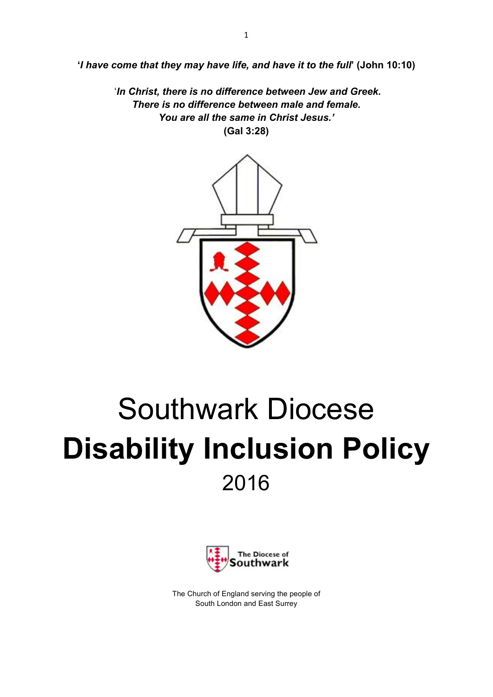**'***I have come that they may have life, and have it to the full***' (John 10:10)**

'*In Christ, there is no difference between Jew and Greek. There is no difference between male and female. You are all the same in Christ Jesus.'* **(Gal 3:28)**



# Southwark Diocese **Disability Inclusion Policy** 2016



The Church of England serving the people of South London and East Surrey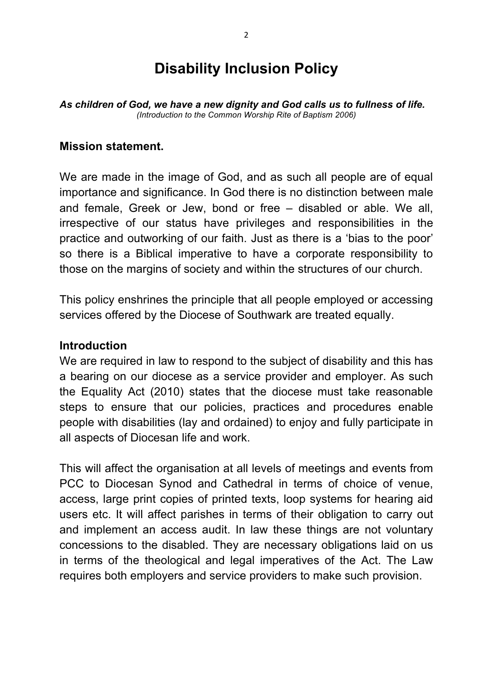## **Disability Inclusion Policy**

*As children of God, we have a new dignity and God calls us to fullness of life. (Introduction to the Common Worship Rite of Baptism 2006)*

#### **Mission statement.**

We are made in the image of God, and as such all people are of equal importance and significance. In God there is no distinction between male and female, Greek or Jew, bond or free – disabled or able. We all, irrespective of our status have privileges and responsibilities in the practice and outworking of our faith. Just as there is a 'bias to the poor' so there is a Biblical imperative to have a corporate responsibility to those on the margins of society and within the structures of our church.

This policy enshrines the principle that all people employed or accessing services offered by the Diocese of Southwark are treated equally.

#### **Introduction**

We are required in law to respond to the subject of disability and this has a bearing on our diocese as a service provider and employer. As such the Equality Act (2010) states that the diocese must take reasonable steps to ensure that our policies, practices and procedures enable people with disabilities (lay and ordained) to enjoy and fully participate in all aspects of Diocesan life and work.

This will affect the organisation at all levels of meetings and events from PCC to Diocesan Synod and Cathedral in terms of choice of venue, access, large print copies of printed texts, loop systems for hearing aid users etc. It will affect parishes in terms of their obligation to carry out and implement an access audit. In law these things are not voluntary concessions to the disabled. They are necessary obligations laid on us in terms of the theological and legal imperatives of the Act. The Law requires both employers and service providers to make such provision.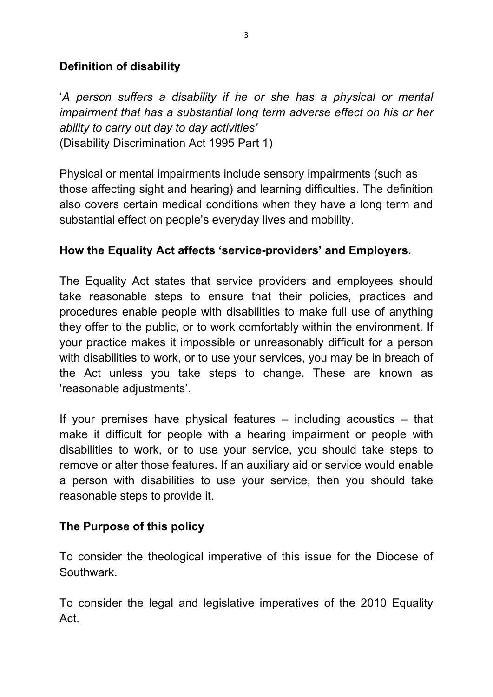## **Definition of disability**

'*A person suffers a disability if he or she has a physical or mental impairment that has a substantial long term adverse effect on his or her ability to carry out day to day activities'* (Disability Discrimination Act 1995 Part 1)

Physical or mental impairments include sensory impairments (such as those affecting sight and hearing) and learning difficulties. The definition also covers certain medical conditions when they have a long term and substantial effect on people's everyday lives and mobility.

## **How the Equality Act affects 'service-providers' and Employers.**

The Equality Act states that service providers and employees should take reasonable steps to ensure that their policies, practices and procedures enable people with disabilities to make full use of anything they offer to the public, or to work comfortably within the environment. If your practice makes it impossible or unreasonably difficult for a person with disabilities to work, or to use your services, you may be in breach of the Act unless you take steps to change. These are known as 'reasonable adjustments'.

If your premises have physical features – including acoustics – that make it difficult for people with a hearing impairment or people with disabilities to work, or to use your service, you should take steps to remove or alter those features. If an auxiliary aid or service would enable a person with disabilities to use your service, then you should take reasonable steps to provide it.

## **The Purpose of this policy**

To consider the theological imperative of this issue for the Diocese of Southwark.

To consider the legal and legislative imperatives of the 2010 Equality Act.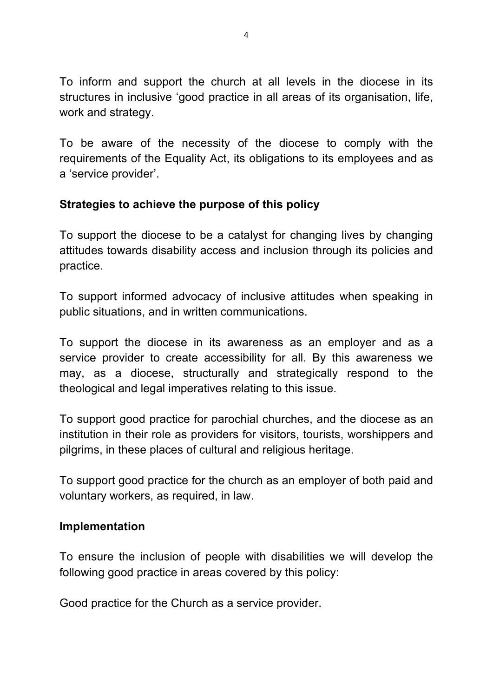To inform and support the church at all levels in the diocese in its structures in inclusive 'good practice in all areas of its organisation, life, work and strategy.

To be aware of the necessity of the diocese to comply with the requirements of the Equality Act, its obligations to its employees and as a 'service provider'.

#### **Strategies to achieve the purpose of this policy**

To support the diocese to be a catalyst for changing lives by changing attitudes towards disability access and inclusion through its policies and practice.

To support informed advocacy of inclusive attitudes when speaking in public situations, and in written communications.

To support the diocese in its awareness as an employer and as a service provider to create accessibility for all. By this awareness we may, as a diocese, structurally and strategically respond to the theological and legal imperatives relating to this issue.

To support good practice for parochial churches, and the diocese as an institution in their role as providers for visitors, tourists, worshippers and pilgrims, in these places of cultural and religious heritage.

To support good practice for the church as an employer of both paid and voluntary workers, as required, in law.

#### **Implementation**

To ensure the inclusion of people with disabilities we will develop the following good practice in areas covered by this policy:

Good practice for the Church as a service provider.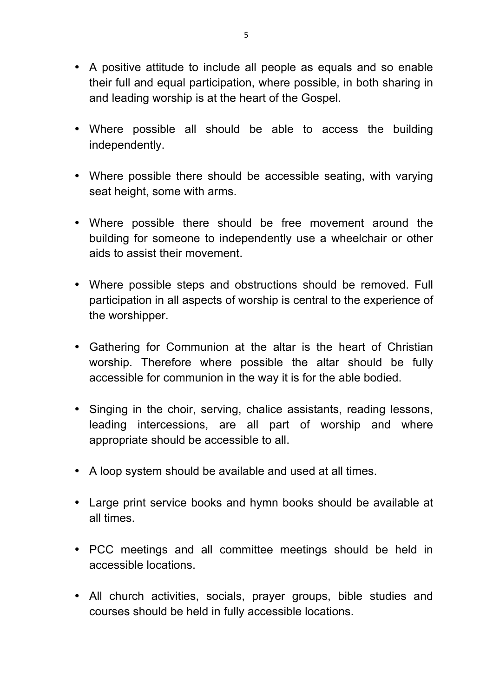- A positive attitude to include all people as equals and so enable their full and equal participation, where possible, in both sharing in and leading worship is at the heart of the Gospel.
- Where possible all should be able to access the building independently.
- Where possible there should be accessible seating, with varying seat height, some with arms.
- Where possible there should be free movement around the building for someone to independently use a wheelchair or other aids to assist their movement.
- Where possible steps and obstructions should be removed. Full participation in all aspects of worship is central to the experience of the worshipper.
- Gathering for Communion at the altar is the heart of Christian worship. Therefore where possible the altar should be fully accessible for communion in the way it is for the able bodied.
- Singing in the choir, serving, chalice assistants, reading lessons, leading intercessions, are all part of worship and where appropriate should be accessible to all.
- A loop system should be available and used at all times.
- Large print service books and hymn books should be available at all times.
- PCC meetings and all committee meetings should be held in accessible locations.
- All church activities, socials, prayer groups, bible studies and courses should be held in fully accessible locations.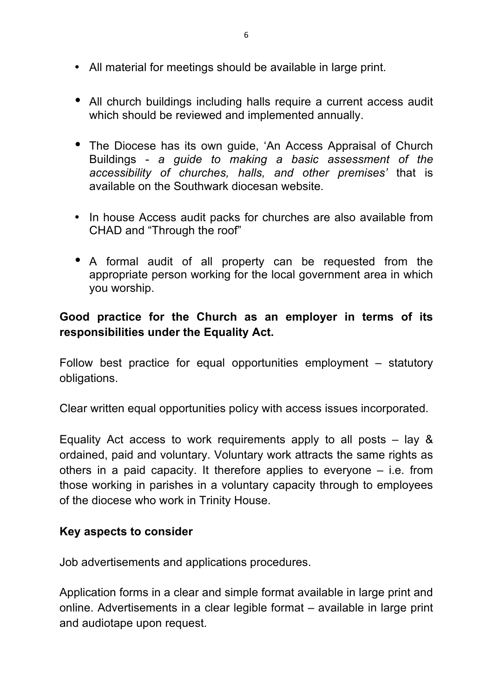- All material for meetings should be available in large print.
- All church buildings including halls require a current access audit which should be reviewed and implemented annually.
- The Diocese has its own guide, 'An Access Appraisal of Church Buildings - *a guide to making a basic assessment of the accessibility of churches, halls, and other premises'* that is available on the Southwark diocesan website*.*
- In house Access audit packs for churches are also available from CHAD and "Through the roof"
- A formal audit of all property can be requested from the appropriate person working for the local government area in which you worship.

## **Good practice for the Church as an employer in terms of its responsibilities under the Equality Act.**

Follow best practice for equal opportunities employment – statutory obligations.

Clear written equal opportunities policy with access issues incorporated.

Equality Act access to work requirements apply to all posts  $-$  lay & ordained, paid and voluntary. Voluntary work attracts the same rights as others in a paid capacity. It therefore applies to everyone – i.e. from those working in parishes in a voluntary capacity through to employees of the diocese who work in Trinity House.

#### **Key aspects to consider**

Job advertisements and applications procedures.

Application forms in a clear and simple format available in large print and online. Advertisements in a clear legible format – available in large print and audiotape upon request.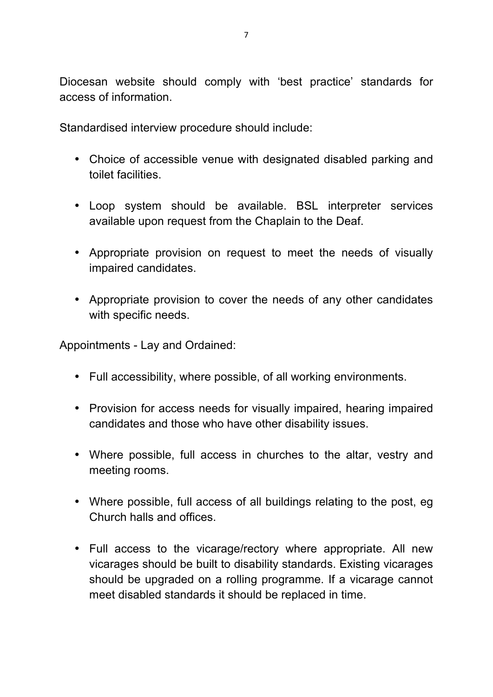Diocesan website should comply with 'best practice' standards for access of information.

Standardised interview procedure should include:

- Choice of accessible venue with designated disabled parking and toilet facilities.
- Loop system should be available. BSL interpreter services available upon request from the Chaplain to the Deaf.
- Appropriate provision on request to meet the needs of visually impaired candidates.
- Appropriate provision to cover the needs of any other candidates with specific needs.

Appointments - Lay and Ordained:

- Full accessibility, where possible, of all working environments.
- Provision for access needs for visually impaired, hearing impaired candidates and those who have other disability issues.
- Where possible, full access in churches to the altar, vestry and meeting rooms.
- Where possible, full access of all buildings relating to the post, eg Church halls and offices.
- Full access to the vicarage/rectory where appropriate. All new vicarages should be built to disability standards. Existing vicarages should be upgraded on a rolling programme. If a vicarage cannot meet disabled standards it should be replaced in time.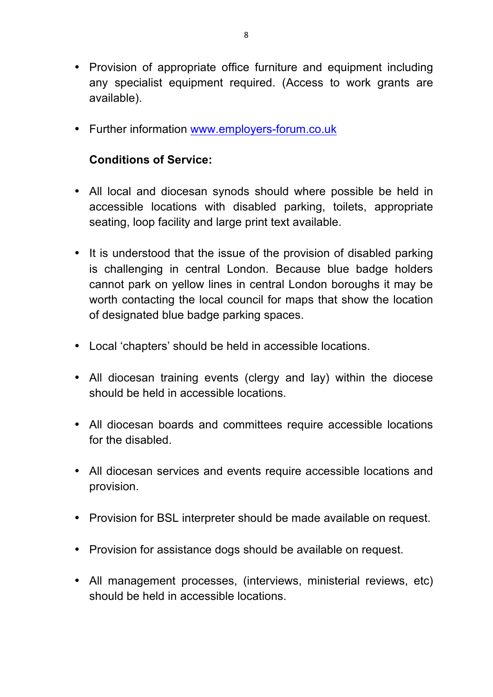- Provision of appropriate office furniture and equipment including any specialist equipment required. (Access to work grants are available).
- Further information www.employers-forum.co.uk

## **Conditions of Service:**

- All local and diocesan synods should where possible be held in accessible locations with disabled parking, toilets, appropriate seating, loop facility and large print text available.
- It is understood that the issue of the provision of disabled parking is challenging in central London. Because blue badge holders cannot park on yellow lines in central London boroughs it may be worth contacting the local council for maps that show the location of designated blue badge parking spaces.
- Local 'chapters' should be held in accessible locations.
- All diocesan training events (clergy and lay) within the diocese should be held in accessible locations.
- All diocesan boards and committees require accessible locations for the disabled.
- All diocesan services and events require accessible locations and provision.
- Provision for BSL interpreter should be made available on request.
- Provision for assistance dogs should be available on request.
- All management processes, (interviews, ministerial reviews, etc) should be held in accessible locations.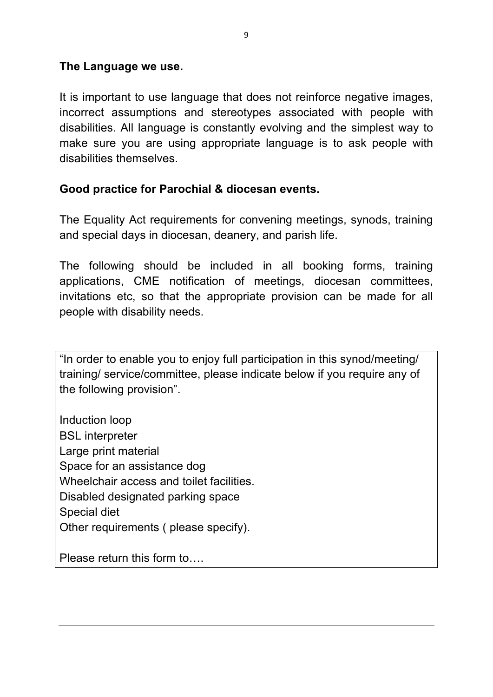#### **The Language we use.**

It is important to use language that does not reinforce negative images, incorrect assumptions and stereotypes associated with people with disabilities. All language is constantly evolving and the simplest way to make sure you are using appropriate language is to ask people with disabilities themselves.

#### **Good practice for Parochial & diocesan events.**

The Equality Act requirements for convening meetings, synods, training and special days in diocesan, deanery, and parish life.

The following should be included in all booking forms, training applications, CME notification of meetings, diocesan committees, invitations etc, so that the appropriate provision can be made for all people with disability needs.

"In order to enable you to enjoy full participation in this synod/meeting/ training/ service/committee, please indicate below if you require any of the following provision".

Induction loop BSL interpreter Large print material Space for an assistance dog Wheelchair access and toilet facilities. Disabled designated parking space Special diet Other requirements ( please specify).

Please return this form to….